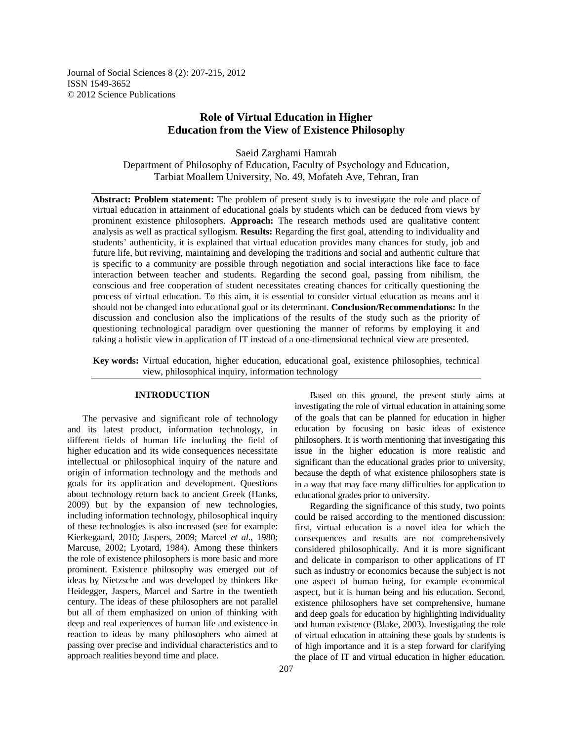Journal of Social Sciences 8 (2): 207-215, 2012 ISSN 1549-3652 © 2012 Science Publications

# **Role of Virtual Education in Higher Education from the View of Existence Philosophy**

Saeid Zarghami Hamrah Department of Philosophy of Education, Faculty of Psychology and Education, Tarbiat Moallem University, No. 49, Mofateh Ave, Tehran, Iran

**Abstract: Problem statement:** The problem of present study is to investigate the role and place of virtual education in attainment of educational goals by students which can be deduced from views by prominent existence philosophers. **Approach:** The research methods used are qualitative content analysis as well as practical syllogism. **Results:** Regarding the first goal, attending to individuality and students' authenticity, it is explained that virtual education provides many chances for study, job and future life, but reviving, maintaining and developing the traditions and social and authentic culture that is specific to a community are possible through negotiation and social interactions like face to face interaction between teacher and students. Regarding the second goal, passing from nihilism, the conscious and free cooperation of student necessitates creating chances for critically questioning the process of virtual education. To this aim, it is essential to consider virtual education as means and it should not be changed into educational goal or its determinant. **Conclusion/Recommendations:** In the discussion and conclusion also the implications of the results of the study such as the priority of questioning technological paradigm over questioning the manner of reforms by employing it and taking a holistic view in application of IT instead of a one-dimensional technical view are presented.

**Key words:** Virtual education, higher education, educational goal, existence philosophies, technical view, philosophical inquiry, information technology

## **INTRODUCTION**

 The pervasive and significant role of technology and its latest product, information technology, in different fields of human life including the field of higher education and its wide consequences necessitate intellectual or philosophical inquiry of the nature and origin of information technology and the methods and goals for its application and development. Questions about technology return back to ancient Greek (Hanks, 2009) but by the expansion of new technologies, including information technology, philosophical inquiry of these technologies is also increased (see for example: Kierkegaard, 2010; Jaspers, 2009; Marcel *et al*., 1980; Marcuse, 2002; Lyotard, 1984). Among these thinkers the role of existence philosophers is more basic and more prominent. Existence philosophy was emerged out of ideas by Nietzsche and was developed by thinkers like Heidegger, Jaspers, Marcel and Sartre in the twentieth century. The ideas of these philosophers are not parallel but all of them emphasized on union of thinking with deep and real experiences of human life and existence in reaction to ideas by many philosophers who aimed at passing over precise and individual characteristics and to approach realities beyond time and place.

 Based on this ground, the present study aims at investigating the role of virtual education in attaining some of the goals that can be planned for education in higher education by focusing on basic ideas of existence philosophers. It is worth mentioning that investigating this issue in the higher education is more realistic and significant than the educational grades prior to university, because the depth of what existence philosophers state is in a way that may face many difficulties for application to educational grades prior to university.

 Regarding the significance of this study, two points could be raised according to the mentioned discussion: first, virtual education is a novel idea for which the consequences and results are not comprehensively considered philosophically. And it is more significant and delicate in comparison to other applications of IT such as industry or economics because the subject is not one aspect of human being, for example economical aspect, but it is human being and his education. Second, existence philosophers have set comprehensive, humane and deep goals for education by highlighting individuality and human existence (Blake, 2003). Investigating the role of virtual education in attaining these goals by students is of high importance and it is a step forward for clarifying the place of IT and virtual education in higher education.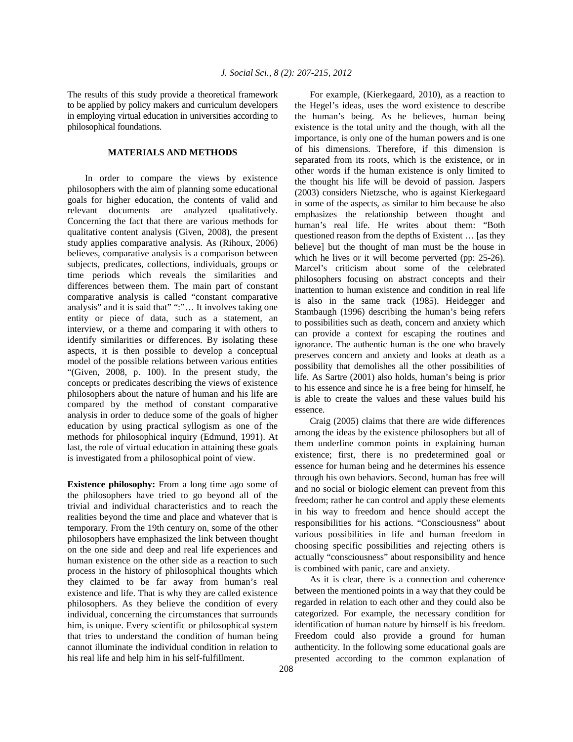The results of this study provide a theoretical framework to be applied by policy makers and curriculum developers in employing virtual education in universities according to philosophical foundations.

### **MATERIALS AND METHODS**

 In order to compare the views by existence philosophers with the aim of planning some educational goals for higher education, the contents of valid and relevant documents are analyzed qualitatively. Concerning the fact that there are various methods for qualitative content analysis (Given, 2008), the present study applies comparative analysis. As (Rihoux, 2006) believes, comparative analysis is a comparison between subjects, predicates, collections, individuals, groups or time periods which reveals the similarities and differences between them. The main part of constant comparative analysis is called "constant comparative analysis" and it is said that" ":"… It involves taking one entity or piece of data, such as a statement, an interview, or a theme and comparing it with others to identify similarities or differences. By isolating these aspects, it is then possible to develop a conceptual model of the possible relations between various entities "(Given, 2008, p. 100). In the present study, the concepts or predicates describing the views of existence philosophers about the nature of human and his life are compared by the method of constant comparative analysis in order to deduce some of the goals of higher education by using practical syllogism as one of the methods for philosophical inquiry (Edmund, 1991). At last, the role of virtual education in attaining these goals is investigated from a philosophical point of view.

**Existence philosophy:** From a long time ago some of the philosophers have tried to go beyond all of the trivial and individual characteristics and to reach the realities beyond the time and place and whatever that is temporary. From the 19th century on, some of the other philosophers have emphasized the link between thought on the one side and deep and real life experiences and human existence on the other side as a reaction to such process in the history of philosophical thoughts which they claimed to be far away from human's real existence and life. That is why they are called existence philosophers. As they believe the condition of every individual, concerning the circumstances that surrounds him, is unique. Every scientific or philosophical system that tries to understand the condition of human being cannot illuminate the individual condition in relation to his real life and help him in his self-fulfillment.

the Hegel's ideas, uses the word existence to describe the human's being. As he believes, human being existence is the total unity and the though, with all the importance, is only one of the human powers and is one of his dimensions. Therefore, if this dimension is separated from its roots, which is the existence, or in other words if the human existence is only limited to the thought his life will be devoid of passion. Jaspers (2003) considers Nietzsche, who is against Kierkegaard in some of the aspects, as similar to him because he also emphasizes the relationship between thought and human's real life. He writes about them: "Both questioned reason from the depths of Existent … [as they believe] but the thought of man must be the house in which he lives or it will become perverted (pp: 25-26). Marcel's criticism about some of the celebrated philosophers focusing on abstract concepts and their inattention to human existence and condition in real life is also in the same track (1985). Heidegger and Stambaugh (1996) describing the human's being refers to possibilities such as death, concern and anxiety which can provide a context for escaping the routines and ignorance. The authentic human is the one who bravely preserves concern and anxiety and looks at death as a possibility that demolishes all the other possibilities of life. As Sartre (2001) also holds, human's being is prior to his essence and since he is a free being for himself, he is able to create the values and these values build his essence.

For example, (Kierkegaard, 2010), as a reaction to

 Craig (2005) claims that there are wide differences among the ideas by the existence philosophers but all of them underline common points in explaining human existence; first, there is no predetermined goal or essence for human being and he determines his essence through his own behaviors. Second, human has free will and no social or biologic element can prevent from this freedom; rather he can control and apply these elements in his way to freedom and hence should accept the responsibilities for his actions. "Consciousness" about various possibilities in life and human freedom in choosing specific possibilities and rejecting others is actually "consciousness" about responsibility and hence is combined with panic, care and anxiety.

 As it is clear, there is a connection and coherence between the mentioned points in a way that they could be regarded in relation to each other and they could also be categorized. For example, the necessary condition for identification of human nature by himself is his freedom. Freedom could also provide a ground for human authenticity. In the following some educational goals are presented according to the common explanation of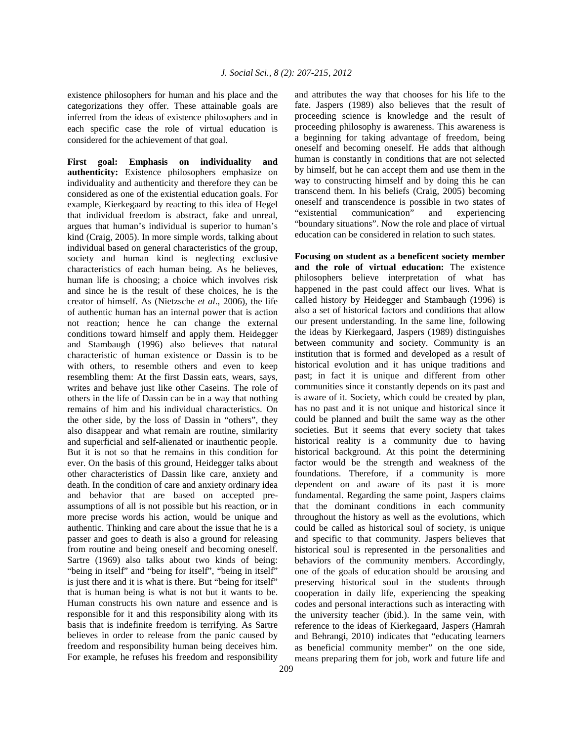existence philosophers for human and his place and the categorizations they offer. These attainable goals are inferred from the ideas of existence philosophers and in each specific case the role of virtual education is considered for the achievement of that goal.

**First goal: Emphasis on individuality and authenticity:** Existence philosophers emphasize on individuality and authenticity and therefore they can be considered as one of the existential education goals. For example, Kierkegaard by reacting to this idea of Hegel that individual freedom is abstract, fake and unreal, argues that human's individual is superior to human's kind (Craig, 2005). In more simple words, talking about individual based on general characteristics of the group, society and human kind is neglecting exclusive characteristics of each human being. As he believes, human life is choosing; a choice which involves risk and since he is the result of these choices, he is the creator of himself. As (Nietzsche *et al*., 2006), the life of authentic human has an internal power that is action not reaction; hence he can change the external conditions toward himself and apply them. Heidegger and Stambaugh (1996) also believes that natural characteristic of human existence or Dassin is to be with others, to resemble others and even to keep resembling them: At the first Dassin eats, wears, says, writes and behave just like other Caseins. The role of others in the life of Dassin can be in a way that nothing remains of him and his individual characteristics. On the other side, by the loss of Dassin in "others", they also disappear and what remain are routine, similarity and superficial and self-alienated or inauthentic people. But it is not so that he remains in this condition for ever. On the basis of this ground, Heidegger talks about other characteristics of Dassin like care, anxiety and death. In the condition of care and anxiety ordinary idea and behavior that are based on accepted preassumptions of all is not possible but his reaction, or in more precise words his action, would be unique and authentic. Thinking and care about the issue that he is a passer and goes to death is also a ground for releasing from routine and being oneself and becoming oneself. Sartre (1969) also talks about two kinds of being: "being in itself" and "being for itself", "being in itself" is just there and it is what is there. But "being for itself" that is human being is what is not but it wants to be. Human constructs his own nature and essence and is responsible for it and this responsibility along with its basis that is indefinite freedom is terrifying. As Sartre believes in order to release from the panic caused by freedom and responsibility human being deceives him. For example, he refuses his freedom and responsibility

and attributes the way that chooses for his life to the fate. Jaspers (1989) also believes that the result of proceeding science is knowledge and the result of proceeding philosophy is awareness. This awareness is a beginning for taking advantage of freedom, being oneself and becoming oneself. He adds that although human is constantly in conditions that are not selected by himself, but he can accept them and use them in the way to constructing himself and by doing this he can transcend them. In his beliefs (Craig, 2005) becoming oneself and transcendence is possible in two states of "existential communication" and experiencing "boundary situations". Now the role and place of virtual education can be considered in relation to such states.

**Focusing on student as a beneficent society member and the role of virtual education:** The existence philosophers believe interpretation of what has happened in the past could affect our lives. What is called history by Heidegger and Stambaugh (1996) is also a set of historical factors and conditions that allow our present understanding. In the same line, following the ideas by Kierkegaard, Jaspers (1989) distinguishes between community and society. Community is an institution that is formed and developed as a result of historical evolution and it has unique traditions and past; in fact it is unique and different from other communities since it constantly depends on its past and is aware of it. Society, which could be created by plan, has no past and it is not unique and historical since it could be planned and built the same way as the other societies. But it seems that every society that takes historical reality is a community due to having historical background. At this point the determining factor would be the strength and weakness of the foundations. Therefore, if a community is more dependent on and aware of its past it is more fundamental. Regarding the same point, Jaspers claims that the dominant conditions in each community throughout the history as well as the evolutions, which could be called as historical soul of society, is unique and specific to that community. Jaspers believes that historical soul is represented in the personalities and behaviors of the community members. Accordingly, one of the goals of education should be arousing and preserving historical soul in the students through cooperation in daily life, experiencing the speaking codes and personal interactions such as interacting with the university teacher (ibid.). In the same vein, with reference to the ideas of Kierkegaard, Jaspers (Hamrah and Behrangi, 2010) indicates that "educating learners as beneficial community member" on the one side, means preparing them for job, work and future life and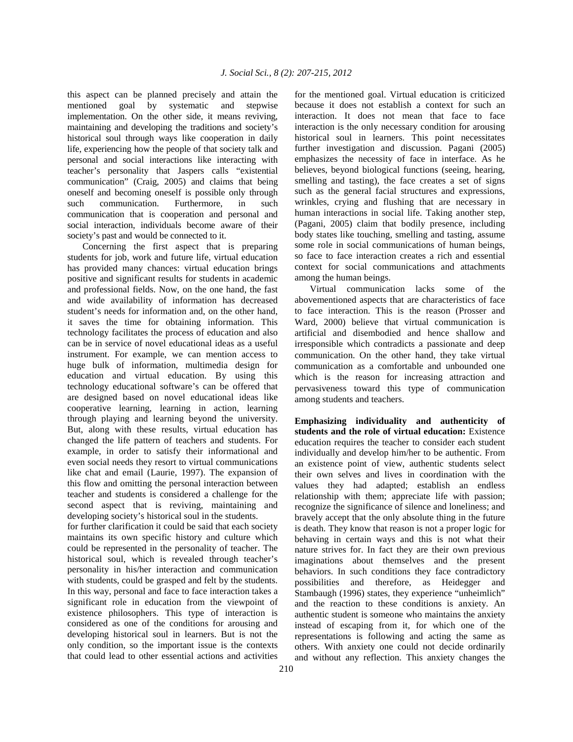this aspect can be planned precisely and attain the mentioned goal by systematic and stepwise implementation. On the other side, it means reviving, maintaining and developing the traditions and society's historical soul through ways like cooperation in daily life, experiencing how the people of that society talk and personal and social interactions like interacting with teacher's personality that Jaspers calls "existential communication" (Craig, 2005) and claims that being oneself and becoming oneself is possible only through such communication. Furthermore, in such communication that is cooperation and personal and social interaction, individuals become aware of their society's past and would be connected to it.

 Concerning the first aspect that is preparing students for job, work and future life, virtual education has provided many chances: virtual education brings positive and significant results for students in academic and professional fields. Now, on the one hand, the fast and wide availability of information has decreased student's needs for information and, on the other hand, it saves the time for obtaining information. This technology facilitates the process of education and also can be in service of novel educational ideas as a useful instrument. For example, we can mention access to huge bulk of information, multimedia design for education and virtual education. By using this technology educational software's can be offered that are designed based on novel educational ideas like cooperative learning, learning in action, learning through playing and learning beyond the university. But, along with these results, virtual education has changed the life pattern of teachers and students. For example, in order to satisfy their informational and even social needs they resort to virtual communications like chat and email (Laurie, 1997). The expansion of this flow and omitting the personal interaction between teacher and students is considered a challenge for the second aspect that is reviving, maintaining and developing society's historical soul in the students.

for further clarification it could be said that each society maintains its own specific history and culture which could be represented in the personality of teacher. The historical soul, which is revealed through teacher's personality in his/her interaction and communication with students, could be grasped and felt by the students. In this way, personal and face to face interaction takes a significant role in education from the viewpoint of existence philosophers. This type of interaction is considered as one of the conditions for arousing and developing historical soul in learners. But is not the only condition, so the important issue is the contexts that could lead to other essential actions and activities

for the mentioned goal. Virtual education is criticized because it does not establish a context for such an interaction. It does not mean that face to face interaction is the only necessary condition for arousing historical soul in learners. This point necessitates further investigation and discussion. Pagani (2005) emphasizes the necessity of face in interface. As he believes, beyond biological functions (seeing, hearing, smelling and tasting), the face creates a set of signs such as the general facial structures and expressions, wrinkles, crying and flushing that are necessary in human interactions in social life. Taking another step, (Pagani, 2005) claim that bodily presence, including body states like touching, smelling and tasting, assume some role in social communications of human beings, so face to face interaction creates a rich and essential context for social communications and attachments among the human beings.

 Virtual communication lacks some of the abovementioned aspects that are characteristics of face to face interaction. This is the reason (Prosser and Ward, 2000) believe that virtual communication is artificial and disembodied and hence shallow and irresponsible which contradicts a passionate and deep communication. On the other hand, they take virtual communication as a comfortable and unbounded one which is the reason for increasing attraction and pervasiveness toward this type of communication among students and teachers.

**Emphasizing individuality and authenticity of students and the role of virtual education:** Existence education requires the teacher to consider each student individually and develop him/her to be authentic. From an existence point of view, authentic students select their own selves and lives in coordination with the values they had adapted; establish an endless relationship with them; appreciate life with passion; recognize the significance of silence and loneliness; and bravely accept that the only absolute thing in the future is death. They know that reason is not a proper logic for behaving in certain ways and this is not what their nature strives for. In fact they are their own previous imaginations about themselves and the present behaviors. In such conditions they face contradictory possibilities and therefore, as Heidegger and Stambaugh (1996) states, they experience "unheimlich" and the reaction to these conditions is anxiety. An authentic student is someone who maintains the anxiety instead of escaping from it, for which one of the representations is following and acting the same as others. With anxiety one could not decide ordinarily and without any reflection. This anxiety changes the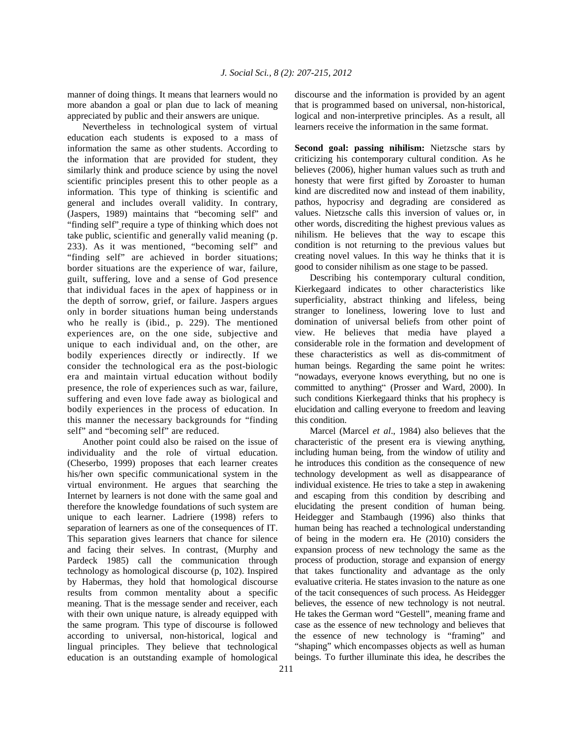manner of doing things. It means that learners would no more abandon a goal or plan due to lack of meaning appreciated by public and their answers are unique.

 Nevertheless in technological system of virtual education each students is exposed to a mass of information the same as other students. According to the information that are provided for student, they similarly think and produce science by using the novel scientific principles present this to other people as a information. This type of thinking is scientific and general and includes overall validity. In contrary, (Jaspers, 1989) maintains that "becoming self" and "finding self" require a type of thinking which does not take public, scientific and generally valid meaning (p. 233). As it was mentioned, "becoming self" and "finding self" are achieved in border situations; border situations are the experience of war, failure, guilt, suffering, love and a sense of God presence that individual faces in the apex of happiness or in the depth of sorrow, grief, or failure. Jaspers argues only in border situations human being understands who he really is (ibid., p. 229). The mentioned experiences are, on the one side, subjective and unique to each individual and, on the other, are bodily experiences directly or indirectly. If we consider the technological era as the post-biologic era and maintain virtual education without bodily presence, the role of experiences such as war, failure, suffering and even love fade away as biological and bodily experiences in the process of education. In this manner the necessary backgrounds for "finding self" and "becoming self" are reduced.

 Another point could also be raised on the issue of individuality and the role of virtual education. (Cheserbo, 1999) proposes that each learner creates his/her own specific communicational system in the virtual environment. He argues that searching the Internet by learners is not done with the same goal and therefore the knowledge foundations of such system are unique to each learner. Ladriere (1998) refers to separation of learners as one of the consequences of IT. This separation gives learners that chance for silence and facing their selves. In contrast, (Murphy and Pardeck 1985) call the communication through technology as homological discourse (p, 102). Inspired by Habermas, they hold that homological discourse results from common mentality about a specific meaning. That is the message sender and receiver, each with their own unique nature, is already equipped with the same program. This type of discourse is followed according to universal, non-historical, logical and lingual principles. They believe that technological education is an outstanding example of homological

discourse and the information is provided by an agent that is programmed based on universal, non-historical, logical and non-interpretive principles. As a result, all learners receive the information in the same format.

**Second goal: passing nihilism:** Nietzsche stars by criticizing his contemporary cultural condition. As he believes (2006), higher human values such as truth and honesty that were first gifted by Zoroaster to human kind are discredited now and instead of them inability, pathos, hypocrisy and degrading are considered as values. Nietzsche calls this inversion of values or, in other words, discrediting the highest previous values as nihilism. He believes that the way to escape this condition is not returning to the previous values but creating novel values. In this way he thinks that it is good to consider nihilism as one stage to be passed.

 Describing his contemporary cultural condition, Kierkegaard indicates to other characteristics like superficiality, abstract thinking and lifeless, being stranger to loneliness, lowering love to lust and domination of universal beliefs from other point of view. He believes that media have played a considerable role in the formation and development of these characteristics as well as dis-commitment of human beings. Regarding the same point he writes: "nowadays, everyone knows everything, but no one is committed to anything" (Prosser and Ward, 2000). In such conditions Kierkegaard thinks that his prophecy is elucidation and calling everyone to freedom and leaving this condition.

 Marcel (Marcel *et al*., 1984) also believes that the characteristic of the present era is viewing anything, including human being, from the window of utility and he introduces this condition as the consequence of new technology development as well as disappearance of individual existence. He tries to take a step in awakening and escaping from this condition by describing and elucidating the present condition of human being. Heidegger and Stambaugh (1996) also thinks that human being has reached a technological understanding of being in the modern era. He (2010) considers the expansion process of new technology the same as the process of production, storage and expansion of energy that takes functionality and advantage as the only evaluative criteria. He states invasion to the nature as one of the tacit consequences of such process. As Heidegger believes, the essence of new technology is not neutral. He takes the German word "Gestell", meaning frame and case as the essence of new technology and believes that the essence of new technology is "framing" and "shaping" which encompasses objects as well as human beings. To further illuminate this idea, he describes the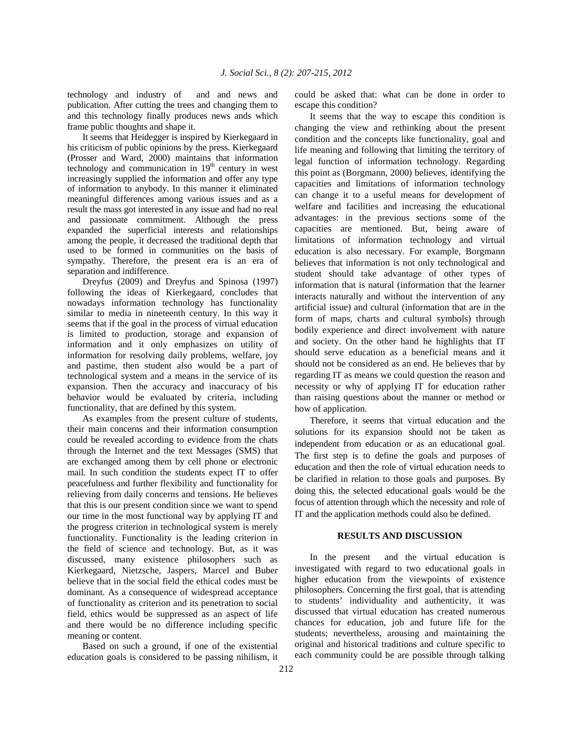technology and industry of and and news and publication. After cutting the trees and changing them to and this technology finally produces news ands which frame public thoughts and shape it.

 It seems that Heidegger is inspired by Kierkegaard in his criticism of public opinions by the press. Kierkegaard (Prosser and Ward, 2000) maintains that information technology and communication in  $19<sup>th</sup>$  century in west increasingly supplied the information and offer any type of information to anybody. In this manner it eliminated meaningful differences among various issues and as a result the mass got interested in any issue and had no real and passionate commitment. Although the press expanded the superficial interests and relationships among the people, it decreased the traditional depth that used to be formed in communities on the basis of sympathy. Therefore, the present era is an era of separation and indifference.

 Dreyfus (2009) and Dreyfus and Spinosa (1997) following the ideas of Kierkegaard, concludes that nowadays information technology has functionality similar to media in nineteenth century. In this way it seems that if the goal in the process of virtual education is limited to production, storage and expansion of information and it only emphasizes on utility of information for resolving daily problems, welfare, joy and pastime, then student also would be a part of technological system and a means in the service of its expansion. Then the accuracy and inaccuracy of his behavior would be evaluated by criteria, including functionality, that are defined by this system.

 As examples from the present culture of students, their main concerns and their information consumption could be revealed according to evidence from the chats through the Internet and the text Messages (SMS) that are exchanged among them by cell phone or electronic mail. In such condition the students expect IT to offer peacefulness and further flexibility and functionality for relieving from daily concerns and tensions. He believes that this is our present condition since we want to spend our time in the most functional way by applying IT and the progress criterion in technological system is merely functionality. Functionality is the leading criterion in the field of science and technology. But, as it was discussed, many existence philosophers such as Kierkegaard, Nietzsche, Jaspers, Marcel and Buber believe that in the social field the ethical codes must be dominant. As a consequence of widespread acceptance of functionality as criterion and its penetration to social field, ethics would be suppressed as an aspect of life and there would be no difference including specific meaning or content.

 Based on such a ground, if one of the existential education goals is considered to be passing nihilism, it could be asked that: what can be done in order to escape this condition?

 It seems that the way to escape this condition is changing the view and rethinking about the present condition and the concepts like functionality, goal and life meaning and following that limiting the territory of legal function of information technology. Regarding this point as (Borgmann, 2000) believes, identifying the capacities and limitations of information technology can change it to a useful means for development of welfare and facilities and increasing the educational advantages: in the previous sections some of the capacities are mentioned. But, being aware of limitations of information technology and virtual education is also necessary. For example, Borgmann believes that information is not only technological and student should take advantage of other types of information that is natural (information that the learner interacts naturally and without the intervention of any artificial issue) and cultural (information that are in the form of maps, charts and cultural symbols) through bodily experience and direct involvement with nature and society. On the other hand he highlights that IT should serve education as a beneficial means and it should not be considered as an end. He believes that by regarding IT as means we could question the reason and necessity or why of applying IT for education rather than raising questions about the manner or method or how of application.

 Therefore, it seems that virtual education and the solutions for its expansion should not be taken as independent from education or as an educational goal. The first step is to define the goals and purposes of education and then the role of virtual education needs to be clarified in relation to those goals and purposes. By doing this, the selected educational goals would be the focus of attention through which the necessity and role of IT and the application methods could also be defined.

#### **RESULTS AND DISCUSSION**

 In the present and the virtual education is investigated with regard to two educational goals in higher education from the viewpoints of existence philosophers. Concerning the first goal, that is attending to students' individuality and authenticity, it was discussed that virtual education has created numerous chances for education, job and future life for the students; nevertheless, arousing and maintaining the original and historical traditions and culture specific to each community could be are possible through talking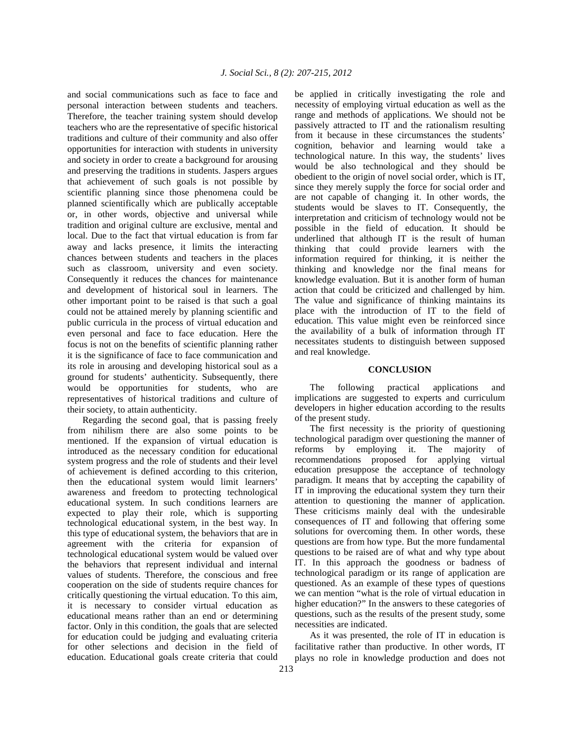and social communications such as face to face and personal interaction between students and teachers. Therefore, the teacher training system should develop teachers who are the representative of specific historical traditions and culture of their community and also offer opportunities for interaction with students in university and society in order to create a background for arousing and preserving the traditions in students. Jaspers argues that achievement of such goals is not possible by scientific planning since those phenomena could be planned scientifically which are publically acceptable or, in other words, objective and universal while tradition and original culture are exclusive, mental and local. Due to the fact that virtual education is from far away and lacks presence, it limits the interacting chances between students and teachers in the places such as classroom, university and even society. Consequently it reduces the chances for maintenance and development of historical soul in learners. The other important point to be raised is that such a goal could not be attained merely by planning scientific and public curricula in the process of virtual education and even personal and face to face education. Here the focus is not on the benefits of scientific planning rather it is the significance of face to face communication and its role in arousing and developing historical soul as a ground for students' authenticity. Subsequently, there would be opportunities for students, who are representatives of historical traditions and culture of their society, to attain authenticity.

 Regarding the second goal, that is passing freely from nihilism there are also some points to be mentioned. If the expansion of virtual education is introduced as the necessary condition for educational system progress and the role of students and their level of achievement is defined according to this criterion, then the educational system would limit learners' awareness and freedom to protecting technological educational system. In such conditions learners are expected to play their role, which is supporting technological educational system, in the best way. In this type of educational system, the behaviors that are in agreement with the criteria for expansion of technological educational system would be valued over the behaviors that represent individual and internal values of students. Therefore, the conscious and free cooperation on the side of students require chances for critically questioning the virtual education. To this aim, it is necessary to consider virtual education as educational means rather than an end or determining factor. Only in this condition, the goals that are selected for education could be judging and evaluating criteria for other selections and decision in the field of education. Educational goals create criteria that could

be applied in critically investigating the role and necessity of employing virtual education as well as the range and methods of applications. We should not be passively attracted to IT and the rationalism resulting from it because in these circumstances the students' cognition, behavior and learning would take a technological nature. In this way, the students' lives would be also technological and they should be obedient to the origin of novel social order, which is IT, since they merely supply the force for social order and are not capable of changing it. In other words, the students would be slaves to IT. Consequently, the interpretation and criticism of technology would not be possible in the field of education. It should be underlined that although IT is the result of human thinking that could provide learners with the information required for thinking, it is neither the thinking and knowledge nor the final means for knowledge evaluation. But it is another form of human action that could be criticized and challenged by him. The value and significance of thinking maintains its place with the introduction of IT to the field of education. This value might even be reinforced since the availability of a bulk of information through IT necessitates students to distinguish between supposed and real knowledge.

#### **CONCLUSION**

 The following practical applications and implications are suggested to experts and curriculum developers in higher education according to the results of the present study.

 The first necessity is the priority of questioning technological paradigm over questioning the manner of reforms by employing it. The majority of recommendations proposed for applying virtual education presuppose the acceptance of technology paradigm. It means that by accepting the capability of IT in improving the educational system they turn their attention to questioning the manner of application. These criticisms mainly deal with the undesirable consequences of IT and following that offering some solutions for overcoming them. In other words, these questions are from how type. But the more fundamental questions to be raised are of what and why type about IT. In this approach the goodness or badness of technological paradigm or its range of application are questioned. As an example of these types of questions we can mention "what is the role of virtual education in higher education?" In the answers to these categories of questions, such as the results of the present study, some necessities are indicated.

 As it was presented, the role of IT in education is facilitative rather than productive. In other words, IT plays no role in knowledge production and does not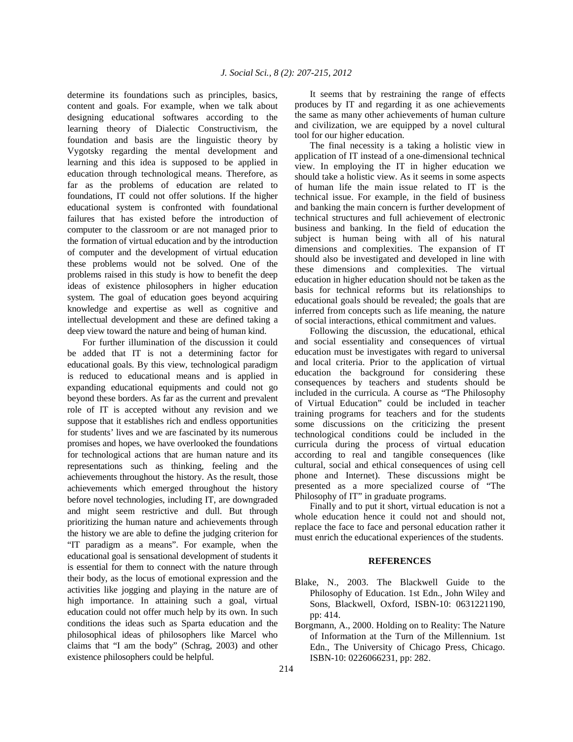determine its foundations such as principles, basics, content and goals. For example, when we talk about designing educational softwares according to the learning theory of Dialectic Constructivism, the foundation and basis are the linguistic theory by Vygotsky regarding the mental development and learning and this idea is supposed to be applied in education through technological means. Therefore, as far as the problems of education are related to foundations, IT could not offer solutions. If the higher educational system is confronted with foundational failures that has existed before the introduction of computer to the classroom or are not managed prior to the formation of virtual education and by the introduction of computer and the development of virtual education these problems would not be solved. One of the problems raised in this study is how to benefit the deep ideas of existence philosophers in higher education system. The goal of education goes beyond acquiring knowledge and expertise as well as cognitive and intellectual development and these are defined taking a deep view toward the nature and being of human kind.

 For further illumination of the discussion it could be added that IT is not a determining factor for educational goals. By this view, technological paradigm is reduced to educational means and is applied in expanding educational equipments and could not go beyond these borders. As far as the current and prevalent role of IT is accepted without any revision and we suppose that it establishes rich and endless opportunities for students' lives and we are fascinated by its numerous promises and hopes, we have overlooked the foundations for technological actions that are human nature and its representations such as thinking, feeling and the achievements throughout the history. As the result, those achievements which emerged throughout the history before novel technologies, including IT, are downgraded and might seem restrictive and dull. But through prioritizing the human nature and achievements through the history we are able to define the judging criterion for "IT paradigm as a means". For example, when the educational goal is sensational development of students it is essential for them to connect with the nature through their body, as the locus of emotional expression and the activities like jogging and playing in the nature are of high importance. In attaining such a goal, virtual education could not offer much help by its own. In such conditions the ideas such as Sparta education and the philosophical ideas of philosophers like Marcel who claims that "I am the body" (Schrag, 2003) and other existence philosophers could be helpful.

 It seems that by restraining the range of effects produces by IT and regarding it as one achievements the same as many other achievements of human culture and civilization, we are equipped by a novel cultural tool for our higher education.

 The final necessity is a taking a holistic view in application of IT instead of a one-dimensional technical view. In employing the IT in higher education we should take a holistic view. As it seems in some aspects of human life the main issue related to IT is the technical issue. For example, in the field of business and banking the main concern is further development of technical structures and full achievement of electronic business and banking. In the field of education the subject is human being with all of his natural dimensions and complexities. The expansion of IT should also be investigated and developed in line with these dimensions and complexities. The virtual education in higher education should not be taken as the basis for technical reforms but its relationships to educational goals should be revealed; the goals that are inferred from concepts such as life meaning, the nature of social interactions, ethical commitment and values.

 Following the discussion, the educational, ethical and social essentiality and consequences of virtual education must be investigates with regard to universal and local criteria. Prior to the application of virtual education the background for considering these consequences by teachers and students should be included in the curricula. A course as "The Philosophy of Virtual Education" could be included in teacher training programs for teachers and for the students some discussions on the criticizing the present technological conditions could be included in the curricula during the process of virtual education according to real and tangible consequences (like cultural, social and ethical consequences of using cell phone and Internet). These discussions might be presented as a more specialized course of "The Philosophy of IT" in graduate programs.

 Finally and to put it short, virtual education is not a whole education hence it could not and should not, replace the face to face and personal education rather it must enrich the educational experiences of the students.

#### **REFERENCES**

- Blake, N., 2003. The Blackwell Guide to the Philosophy of Education. 1st Edn., John Wiley and Sons, Blackwell, Oxford, ISBN-10: 0631221190, pp: 414.
- Borgmann, A., 2000. Holding on to Reality: The Nature of Information at the Turn of the Millennium. 1st Edn., The University of Chicago Press, Chicago. ISBN-10: 0226066231, pp: 282.